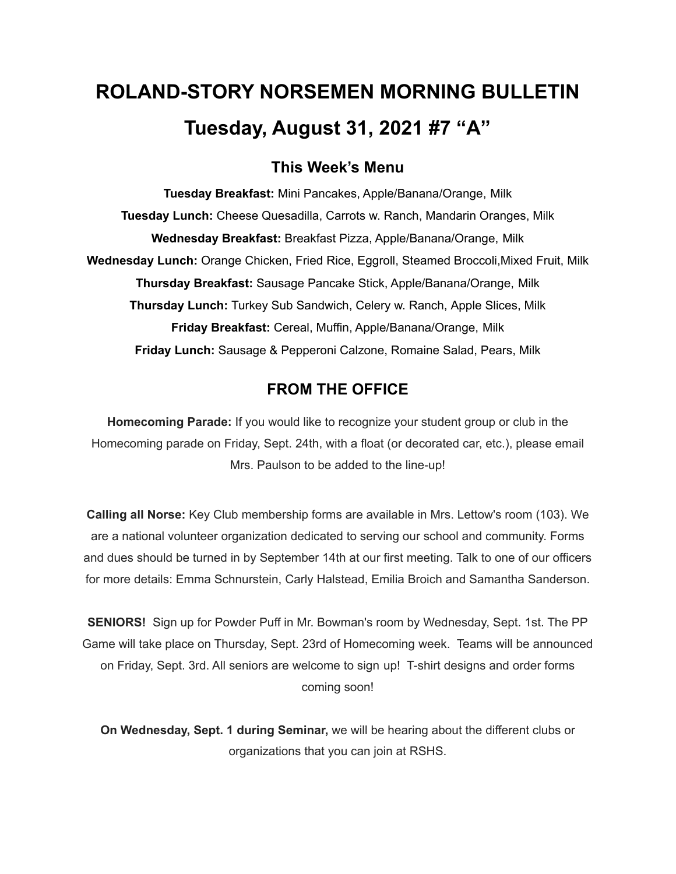# **ROLAND-STORY NORSEMEN MORNING BULLETIN Tuesday, August 31, 2021 #7 "A"**

# **This Week's Menu**

**Tuesday Breakfast:** Mini Pancakes, Apple/Banana/Orange, Milk **Tuesday Lunch:** Cheese Quesadilla, Carrots w. Ranch, Mandarin Oranges, Milk **Wednesday Breakfast:** Breakfast Pizza, Apple/Banana/Orange, Milk **Wednesday Lunch:** Orange Chicken, Fried Rice, Eggroll, Steamed Broccoli,Mixed Fruit, Milk **Thursday Breakfast:** Sausage Pancake Stick, Apple/Banana/Orange, Milk **Thursday Lunch:** Turkey Sub Sandwich, Celery w. Ranch, Apple Slices, Milk **Friday Breakfast:** Cereal, Muffin, Apple/Banana/Orange, Milk **Friday Lunch:** Sausage & Pepperoni Calzone, Romaine Salad, Pears, Milk

# **FROM THE OFFICE**

**Homecoming Parade:** If you would like to recognize your student group or club in the Homecoming parade on Friday, Sept. 24th, with a float (or decorated car, etc.), please email Mrs. Paulson to be added to the line-up!

**Calling all Norse:** Key Club membership forms are available in Mrs. Lettow's room (103). We are a national volunteer organization dedicated to serving our school and community. Forms and dues should be turned in by September 14th at our first meeting. Talk to one of our officers for more details: Emma Schnurstein, Carly Halstead, Emilia Broich and Samantha Sanderson.

**SENIORS!** Sign up for Powder Puff in Mr. Bowman's room by Wednesday, Sept. 1st. The PP Game will take place on Thursday, Sept. 23rd of Homecoming week. Teams will be announced on Friday, Sept. 3rd. All seniors are welcome to sign up! T-shirt designs and order forms coming soon!

**On Wednesday, Sept. 1 during Seminar,** we will be hearing about the different clubs or organizations that you can join at RSHS.